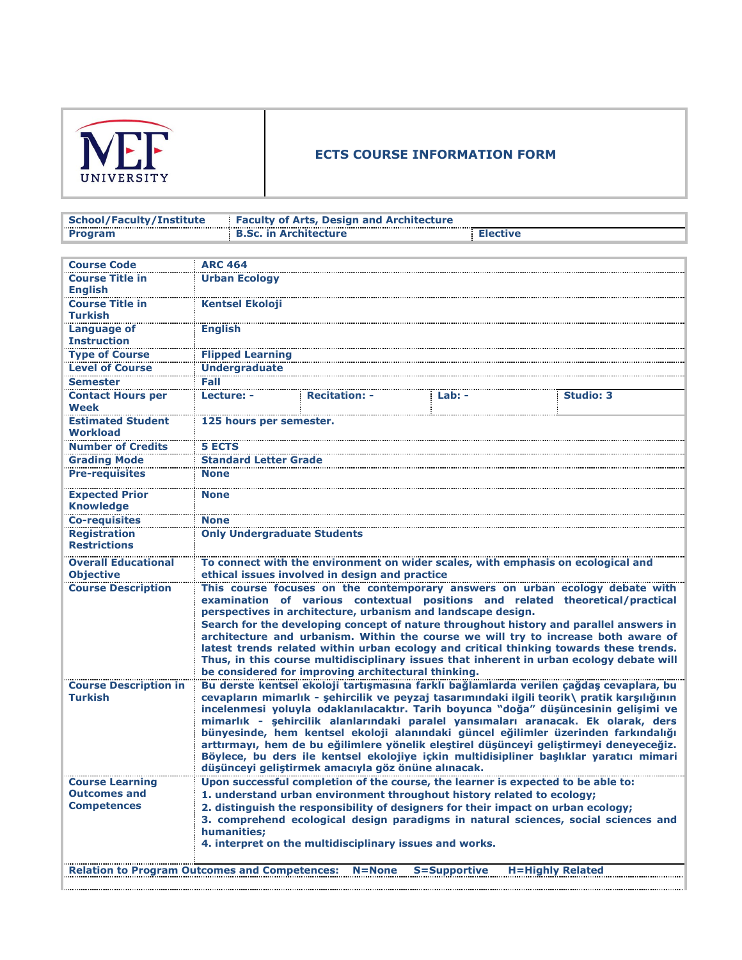

## **ECTS COURSE INFORMATION FORM**

| School/Faculty/Institute | <b>Example 2 Faculty of Arts, Design and Architecture</b> |  |
|--------------------------|-----------------------------------------------------------|--|
| <b>Program</b>           | <b>B.Sc. in Architecture</b>                              |  |

| <b>Course Code</b>                                   | <b>ARC 464</b>                                                                                                                                                                     |                                                                                                                                                             |              |                         |  |
|------------------------------------------------------|------------------------------------------------------------------------------------------------------------------------------------------------------------------------------------|-------------------------------------------------------------------------------------------------------------------------------------------------------------|--------------|-------------------------|--|
| <b>Course Title in</b>                               | <b>Urban Ecology</b>                                                                                                                                                               |                                                                                                                                                             |              |                         |  |
| <b>English</b>                                       |                                                                                                                                                                                    |                                                                                                                                                             |              |                         |  |
| <b>Course Title in</b>                               | <b>Kentsel Ekoloji</b>                                                                                                                                                             |                                                                                                                                                             |              |                         |  |
| <b>Turkish</b>                                       |                                                                                                                                                                                    |                                                                                                                                                             |              |                         |  |
| <b>Language of</b>                                   | <b>English</b>                                                                                                                                                                     |                                                                                                                                                             |              |                         |  |
| <b>Instruction</b>                                   |                                                                                                                                                                                    |                                                                                                                                                             |              |                         |  |
| <b>Type of Course</b>                                | <b>Flipped Learning</b>                                                                                                                                                            |                                                                                                                                                             |              |                         |  |
| <b>Level of Course</b>                               | <b>Undergraduate</b>                                                                                                                                                               |                                                                                                                                                             |              |                         |  |
| <b>Semester</b>                                      | Fall                                                                                                                                                                               |                                                                                                                                                             |              |                         |  |
| <b>Contact Hours per</b>                             | Lecture: -                                                                                                                                                                         | <b>Recitation: -</b>                                                                                                                                        | Lab: -       | <b>Studio: 3</b>        |  |
| <b>Week</b>                                          |                                                                                                                                                                                    |                                                                                                                                                             |              |                         |  |
| <b>Estimated Student</b>                             | 125 hours per semester.                                                                                                                                                            |                                                                                                                                                             |              |                         |  |
| <b>Workload</b>                                      |                                                                                                                                                                                    |                                                                                                                                                             |              |                         |  |
| <b>Number of Credits</b>                             | <b>5 ECTS</b>                                                                                                                                                                      |                                                                                                                                                             |              |                         |  |
| <b>Grading Mode</b>                                  | <b>Standard Letter Grade</b>                                                                                                                                                       |                                                                                                                                                             |              |                         |  |
| <b>Pre-requisites</b>                                | <b>None</b>                                                                                                                                                                        |                                                                                                                                                             |              |                         |  |
| <b>Expected Prior</b>                                | <b>None</b>                                                                                                                                                                        |                                                                                                                                                             |              |                         |  |
| <b>Knowledge</b>                                     |                                                                                                                                                                                    |                                                                                                                                                             |              |                         |  |
| <b>Co-requisites</b>                                 | <b>None</b>                                                                                                                                                                        |                                                                                                                                                             |              |                         |  |
| <b>Registration</b>                                  | <b>Only Undergraduate Students</b>                                                                                                                                                 |                                                                                                                                                             |              |                         |  |
| <b>Restrictions</b>                                  |                                                                                                                                                                                    |                                                                                                                                                             |              |                         |  |
| <b>Overall Educational</b>                           |                                                                                                                                                                                    | To connect with the environment on wider scales, with emphasis on ecological and                                                                            |              |                         |  |
| <b>Objective</b>                                     |                                                                                                                                                                                    | ethical issues involved in design and practice                                                                                                              |              |                         |  |
| <b>Course Description</b>                            |                                                                                                                                                                                    | This course focuses on the contemporary answers on urban ecology debate with                                                                                |              |                         |  |
|                                                      |                                                                                                                                                                                    | examination of various contextual positions and related theoretical/practical                                                                               |              |                         |  |
|                                                      |                                                                                                                                                                                    | perspectives in architecture, urbanism and landscape design.                                                                                                |              |                         |  |
|                                                      |                                                                                                                                                                                    | Search for the developing concept of nature throughout history and parallel answers in                                                                      |              |                         |  |
|                                                      |                                                                                                                                                                                    | architecture and urbanism. Within the course we will try to increase both aware of                                                                          |              |                         |  |
|                                                      | latest trends related within urban ecology and critical thinking towards these trends.<br>Thus, in this course multidisciplinary issues that inherent in urban ecology debate will |                                                                                                                                                             |              |                         |  |
|                                                      |                                                                                                                                                                                    | be considered for improving architectural thinking.                                                                                                         |              |                         |  |
| <b>Course Description in</b>                         |                                                                                                                                                                                    | Bu derste kentsel ekoloji tartışmasına farklı bağlamlarda verilen çağdaş cevaplara, bu                                                                      |              |                         |  |
| <b>Turkish</b>                                       |                                                                                                                                                                                    | cevapların mimarlık - şehircilik ve peyzaj tasarımındaki ilgili teorik\ pratik karşılığının                                                                 |              |                         |  |
|                                                      |                                                                                                                                                                                    | incelenmesi yoluyla odaklanılacaktır. Tarih boyunca "doğa" düşüncesinin gelişimi ve                                                                         |              |                         |  |
|                                                      |                                                                                                                                                                                    | mimarlık - şehircilik alanlarındaki paralel yansımaları aranacak. Ek olarak, ders                                                                           |              |                         |  |
|                                                      |                                                                                                                                                                                    | bünyesinde, hem kentsel ekoloji alanındaki güncel eğilimler üzerinden farkındalığı                                                                          |              |                         |  |
|                                                      |                                                                                                                                                                                    | arttırmayı, hem de bu eğilimlere yönelik eleştirel düşünceyi geliştirmeyi deneyeceğiz.                                                                      |              |                         |  |
|                                                      |                                                                                                                                                                                    | Böylece, bu ders ile kentsel ekolojiye içkin multidisipliner başlıklar yaratıcı mimari                                                                      |              |                         |  |
|                                                      |                                                                                                                                                                                    | düşünceyi geliştirmek amacıyla göz önüne alınacak.                                                                                                          |              |                         |  |
| <b>Course Learning</b>                               |                                                                                                                                                                                    | Upon successful completion of the course, the learner is expected to be able to:                                                                            |              |                         |  |
| <b>Outcomes and</b><br><b>Competences</b>            |                                                                                                                                                                                    | 1. understand urban environment throughout history related to ecology;<br>2. distinguish the responsibility of designers for their impact on urban ecology; |              |                         |  |
|                                                      |                                                                                                                                                                                    | 3. comprehend ecological design paradigms in natural sciences, social sciences and                                                                          |              |                         |  |
|                                                      | humanities:                                                                                                                                                                        |                                                                                                                                                             |              |                         |  |
|                                                      |                                                                                                                                                                                    | 4. interpret on the multidisciplinary issues and works.                                                                                                     |              |                         |  |
|                                                      |                                                                                                                                                                                    |                                                                                                                                                             |              |                         |  |
| <b>Relation to Program Outcomes and Competences:</b> |                                                                                                                                                                                    | $N = None$                                                                                                                                                  | S=Supportive | <b>H=Highly Related</b> |  |
|                                                      |                                                                                                                                                                                    |                                                                                                                                                             |              |                         |  |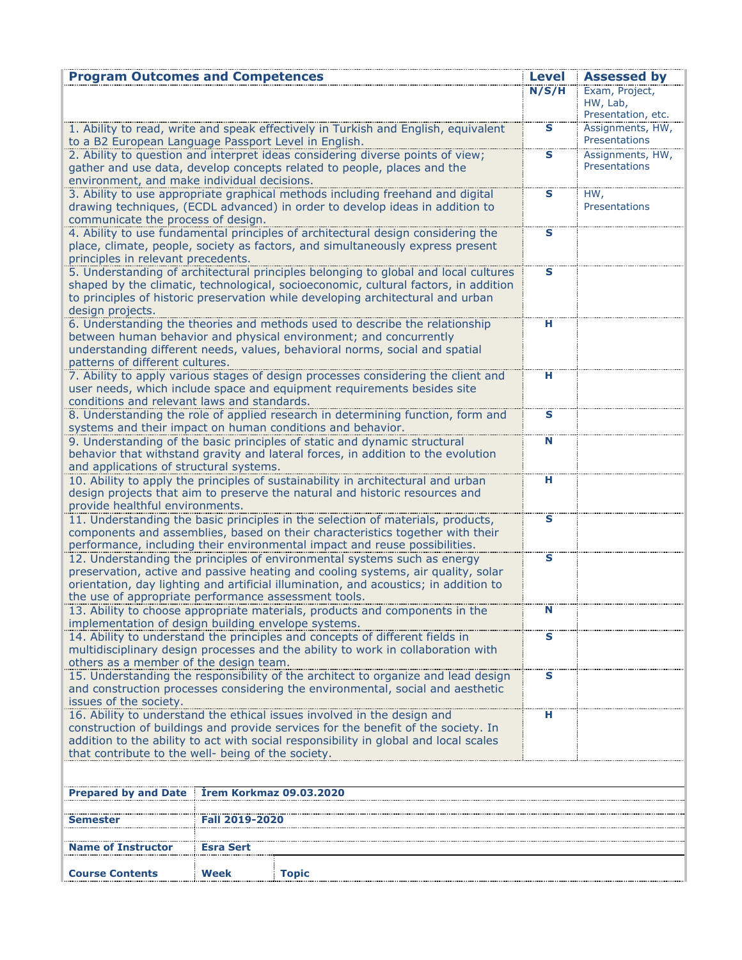| <b>Program Outcomes and Competences</b>              |                                |                                                                                                                                                                            | <b>Level</b> | <b>Assessed by</b>                               |
|------------------------------------------------------|--------------------------------|----------------------------------------------------------------------------------------------------------------------------------------------------------------------------|--------------|--------------------------------------------------|
|                                                      |                                |                                                                                                                                                                            | N/S/H        | Exam, Project,<br>HW, Lab,<br>Presentation, etc. |
| to a B2 European Language Passport Level in English. |                                | 1. Ability to read, write and speak effectively in Turkish and English, equivalent                                                                                         | $\mathbf{s}$ | Assignments, HW,<br>Presentations                |
| environment, and make individual decisions.          |                                | 2. Ability to question and interpret ideas considering diverse points of view;<br>gather and use data, develop concepts related to people, places and the                  | s            | Assignments, HW,<br>Presentations                |
|                                                      |                                | 3. Ability to use appropriate graphical methods including freehand and digital                                                                                             | S            | HW,                                              |
| communicate the process of design.                   |                                | drawing techniques, (ECDL advanced) in order to develop ideas in addition to                                                                                               |              | Presentations                                    |
|                                                      |                                | 4. Ability to use fundamental principles of architectural design considering the<br>place, climate, people, society as factors, and simultaneously express present         | S            |                                                  |
| principles in relevant precedents.                   |                                |                                                                                                                                                                            |              |                                                  |
|                                                      |                                | 5. Understanding of architectural principles belonging to global and local cultures<br>shaped by the climatic, technological, socioeconomic, cultural factors, in addition | s            |                                                  |
|                                                      |                                | to principles of historic preservation while developing architectural and urban                                                                                            |              |                                                  |
| design projects.                                     |                                |                                                                                                                                                                            |              |                                                  |
|                                                      |                                | 6. Understanding the theories and methods used to describe the relationship                                                                                                | н            |                                                  |
|                                                      |                                | between human behavior and physical environment; and concurrently<br>understanding different needs, values, behavioral norms, social and spatial                           |              |                                                  |
| patterns of different cultures.                      |                                |                                                                                                                                                                            |              |                                                  |
|                                                      |                                | 7. Ability to apply various stages of design processes considering the client and                                                                                          | Н            |                                                  |
|                                                      |                                | user needs, which include space and equipment requirements besides site                                                                                                    |              |                                                  |
| conditions and relevant laws and standards.          |                                | 8. Understanding the role of applied research in determining function, form and                                                                                            | s            |                                                  |
|                                                      |                                | systems and their impact on human conditions and behavior.                                                                                                                 |              |                                                  |
|                                                      |                                | 9. Understanding of the basic principles of static and dynamic structural                                                                                                  | N            |                                                  |
|                                                      |                                | behavior that withstand gravity and lateral forces, in addition to the evolution                                                                                           |              |                                                  |
| and applications of structural systems.              |                                | 10. Ability to apply the principles of sustainability in architectural and urban                                                                                           | н            |                                                  |
|                                                      |                                | design projects that aim to preserve the natural and historic resources and                                                                                                |              |                                                  |
| provide healthful environments.                      |                                |                                                                                                                                                                            |              |                                                  |
|                                                      |                                | 11. Understanding the basic principles in the selection of materials, products,                                                                                            | s            |                                                  |
|                                                      |                                | components and assemblies, based on their characteristics together with their<br>performance, including their environmental impact and reuse possibilities.                |              |                                                  |
|                                                      |                                | 12. Understanding the principles of environmental systems such as energy                                                                                                   | s            |                                                  |
|                                                      |                                | preservation, active and passive heating and cooling systems, air quality, solar                                                                                           |              |                                                  |
|                                                      |                                | orientation, day lighting and artificial illumination, and acoustics; in addition to                                                                                       |              |                                                  |
| the use of appropriate performance assessment tools. |                                | 13. Ability to choose appropriate materials, products and components in the                                                                                                |              |                                                  |
| implementation of design building envelope systems.  |                                |                                                                                                                                                                            |              |                                                  |
|                                                      |                                | 14. Ability to understand the principles and concepts of different fields in                                                                                               | s            |                                                  |
|                                                      |                                | multidisciplinary design processes and the ability to work in collaboration with                                                                                           |              |                                                  |
| others as a member of the design team.               |                                | 15. Understanding the responsibility of the architect to organize and lead design                                                                                          | s            |                                                  |
|                                                      |                                | and construction processes considering the environmental, social and aesthetic                                                                                             |              |                                                  |
| issues of the society.                               |                                |                                                                                                                                                                            |              |                                                  |
|                                                      |                                | 16. Ability to understand the ethical issues involved in the design and<br>construction of buildings and provide services for the benefit of the society. In               | н            |                                                  |
|                                                      |                                | addition to the ability to act with social responsibility in global and local scales                                                                                       |              |                                                  |
| that contribute to the well- being of the society.   |                                |                                                                                                                                                                            |              |                                                  |
|                                                      |                                |                                                                                                                                                                            |              |                                                  |
| <b>Prepared by and Date</b>                          | <b>Irem Korkmaz 09.03.2020</b> |                                                                                                                                                                            |              |                                                  |
|                                                      |                                |                                                                                                                                                                            |              |                                                  |
| Semester                                             | <b>Fall 2019-2020</b>          |                                                                                                                                                                            |              |                                                  |
| Name of Instructor                                   | <b>Esra Sert</b>               |                                                                                                                                                                            |              |                                                  |
|                                                      |                                |                                                                                                                                                                            |              |                                                  |
| <b>Course Contents</b>                               | Week                           | <b>Topic</b>                                                                                                                                                               |              |                                                  |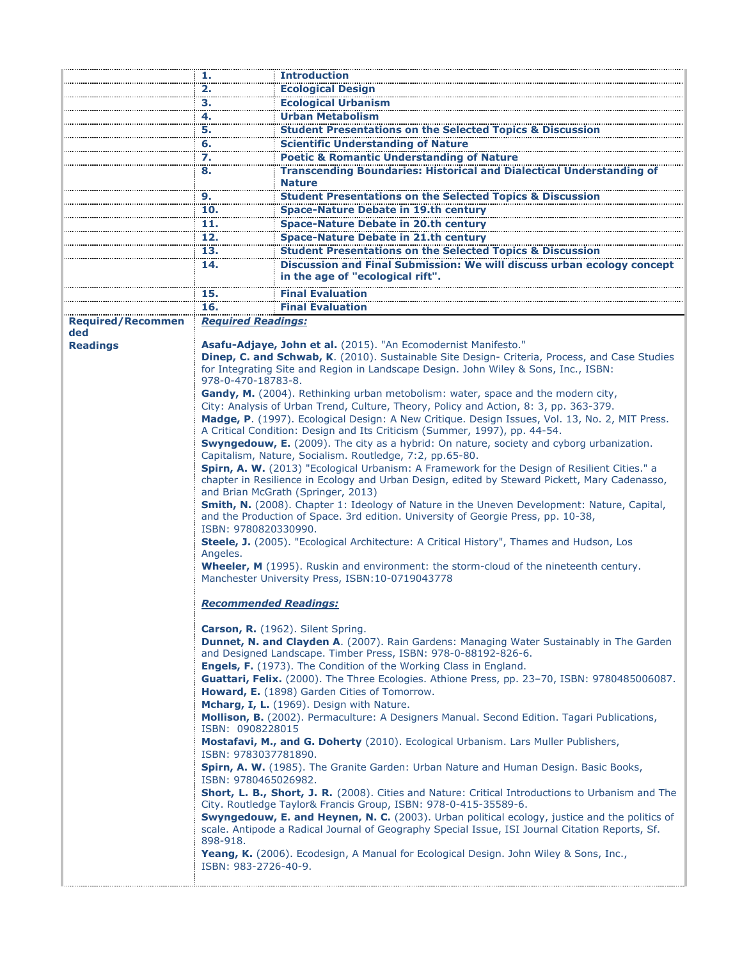|                          | 1.                                                                                                                            | <b>Introduction</b>                                                                                                                                                                                                                 |  |  |
|--------------------------|-------------------------------------------------------------------------------------------------------------------------------|-------------------------------------------------------------------------------------------------------------------------------------------------------------------------------------------------------------------------------------|--|--|
|                          | 2.                                                                                                                            | <b>Ecological Design</b>                                                                                                                                                                                                            |  |  |
|                          | з.                                                                                                                            | <b>Ecological Urbanism</b>                                                                                                                                                                                                          |  |  |
|                          | 4.                                                                                                                            | <b>Urban Metabolism</b>                                                                                                                                                                                                             |  |  |
|                          | 5.                                                                                                                            | <b>Student Presentations on the Selected Topics &amp; Discussion</b>                                                                                                                                                                |  |  |
|                          | 6.                                                                                                                            | <b>Scientific Understanding of Nature</b>                                                                                                                                                                                           |  |  |
|                          | <br>7.                                                                                                                        | <b>Poetic &amp; Romantic Understanding of Nature</b>                                                                                                                                                                                |  |  |
|                          | 8.                                                                                                                            | <b>Transcending Boundaries: Historical and Dialectical Understanding of</b><br><b>Nature</b>                                                                                                                                        |  |  |
|                          | 9.                                                                                                                            | <b>Student Presentations on the Selected Topics &amp; Discussion</b>                                                                                                                                                                |  |  |
|                          | 10.                                                                                                                           | <b>Space-Nature Debate in 19.th century</b>                                                                                                                                                                                         |  |  |
|                          | 11.                                                                                                                           | <b>Space-Nature Debate in 20.th century</b>                                                                                                                                                                                         |  |  |
|                          | 12.                                                                                                                           | <b>Space-Nature Debate in 21.th century</b>                                                                                                                                                                                         |  |  |
|                          | 13.                                                                                                                           | <b>Student Presentations on the Selected Topics &amp; Discussion</b>                                                                                                                                                                |  |  |
|                          | 14.                                                                                                                           | Discussion and Final Submission: We will discuss urban ecology concept                                                                                                                                                              |  |  |
|                          |                                                                                                                               | in the age of "ecological rift".                                                                                                                                                                                                    |  |  |
|                          | 15.                                                                                                                           | Final Evaluation                                                                                                                                                                                                                    |  |  |
|                          | 16.                                                                                                                           | <b>Final Evaluation</b>                                                                                                                                                                                                             |  |  |
| <b>Required/Recommen</b> | <b>Required Readings:</b>                                                                                                     |                                                                                                                                                                                                                                     |  |  |
| ded                      |                                                                                                                               |                                                                                                                                                                                                                                     |  |  |
| <b>Readings</b>          |                                                                                                                               | Asafu-Adjaye, John et al. (2015). "An Ecomodernist Manifesto."                                                                                                                                                                      |  |  |
|                          | 978-0-470-18783-8.                                                                                                            | Dinep, C. and Schwab, K. (2010). Sustainable Site Design- Criteria, Process, and Case Studies<br>for Integrating Site and Region in Landscape Design. John Wiley & Sons, Inc., ISBN:                                                |  |  |
|                          |                                                                                                                               | Gandy, M. (2004). Rethinking urban metobolism: water, space and the modern city,                                                                                                                                                    |  |  |
|                          |                                                                                                                               | City: Analysis of Urban Trend, Culture, Theory, Policy and Action, 8: 3, pp. 363-379.                                                                                                                                               |  |  |
|                          |                                                                                                                               | Madge, P. (1997). Ecological Design: A New Critique. Design Issues, Vol. 13, No. 2, MIT Press.                                                                                                                                      |  |  |
|                          |                                                                                                                               | A Critical Condition: Design and Its Criticism (Summer, 1997), pp. 44-54.                                                                                                                                                           |  |  |
|                          |                                                                                                                               | Swyngedouw, E. (2009). The city as a hybrid: On nature, society and cyborg urbanization.                                                                                                                                            |  |  |
|                          |                                                                                                                               | Capitalism, Nature, Socialism. Routledge, 7:2, pp.65-80.                                                                                                                                                                            |  |  |
|                          |                                                                                                                               | Spirn, A. W. (2013) "Ecological Urbanism: A Framework for the Design of Resilient Cities." a<br>chapter in Resilience in Ecology and Urban Design, edited by Steward Pickett, Mary Cadenasso,<br>and Brian McGrath (Springer, 2013) |  |  |
|                          |                                                                                                                               | Smith, N. (2008). Chapter 1: Ideology of Nature in the Uneven Development: Nature, Capital,<br>and the Production of Space. 3rd edition. University of Georgie Press, pp. 10-38,                                                    |  |  |
|                          | ISBN: 9780820330990.                                                                                                          | Steele, J. (2005). "Ecological Architecture: A Critical History", Thames and Hudson, Los                                                                                                                                            |  |  |
|                          | Angeles.                                                                                                                      | <b>Wheeler, M</b> (1995). Ruskin and environment: the storm-cloud of the nineteenth century.                                                                                                                                        |  |  |
|                          |                                                                                                                               | Manchester University Press, ISBN:10-0719043778                                                                                                                                                                                     |  |  |
|                          | <b>Recommended Readings:</b>                                                                                                  |                                                                                                                                                                                                                                     |  |  |
|                          | Carson, R. (1962). Silent Spring.<br>Dunnet, N. and Clayden A. (2007). Rain Gardens: Managing Water Sustainably in The Garden |                                                                                                                                                                                                                                     |  |  |
|                          |                                                                                                                               | and Designed Landscape. Timber Press, ISBN: 978-0-88192-826-6.<br>Engels, F. (1973). The Condition of the Working Class in England.                                                                                                 |  |  |
|                          |                                                                                                                               | Guattari, Felix. (2000). The Three Ecologies. Athione Press, pp. 23-70, ISBN: 9780485006087.<br>Howard, E. (1898) Garden Cities of Tomorrow.                                                                                        |  |  |
|                          |                                                                                                                               | Mcharg, I, L. (1969). Design with Nature.<br>Mollison, B. (2002). Permaculture: A Designers Manual. Second Edition. Tagari Publications,                                                                                            |  |  |
|                          | ISBN: 0908228015                                                                                                              | Mostafavi, M., and G. Doherty (2010). Ecological Urbanism. Lars Muller Publishers,                                                                                                                                                  |  |  |
|                          | ISBN: 9783037781890.                                                                                                          | Spirn, A. W. (1985). The Granite Garden: Urban Nature and Human Design. Basic Books,                                                                                                                                                |  |  |
|                          | ISBN: 9780465026982.                                                                                                          | <b>Short, L. B., Short, J. R.</b> (2008). Cities and Nature: Critical Introductions to Urbanism and The                                                                                                                             |  |  |
|                          |                                                                                                                               | City. Routledge Taylor& Francis Group, ISBN: 978-0-415-35589-6.<br>Swyngedouw, E. and Heynen, N. C. (2003). Urban political ecology, justice and the politics of                                                                    |  |  |
|                          | 898-918.                                                                                                                      | scale. Antipode a Radical Journal of Geography Special Issue, ISI Journal Citation Reports, Sf.                                                                                                                                     |  |  |
|                          | ISBN: 983-2726-40-9.                                                                                                          | <b>Yeang, K.</b> (2006). Ecodesign, A Manual for Ecological Design. John Wiley & Sons, Inc.,                                                                                                                                        |  |  |